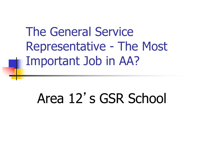The General Service Representative - The Most Important Job in AA?

# Area 12's GSR School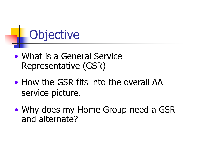# **Objective**

- What is a General Service Representative (GSR)
- How the GSR fits into the overall AA service picture.
- Why does my Home Group need a GSR and alternate?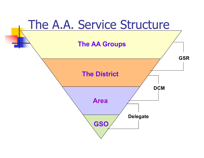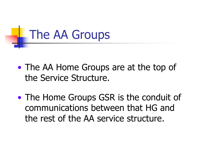

- The AA Home Groups are at the top of the Service Structure.
- The Home Groups GSR is the conduit of communications between that HG and the rest of the AA service structure.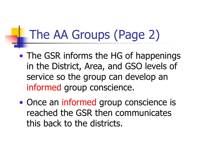## The AA Groups (Page 2)

- The GSR informs the HG of happenings in the District, Area, and GSO levels of service so the group can develop an informed group conscience.
- Once an informed group conscience is reached the GSR then communicates this back to the districts.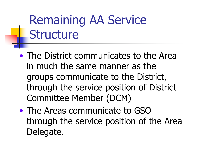# Remaining AA Service **Structure**

- The District communicates to the Area in much the same manner as the groups communicate to the District, through the service position of District Committee Member (DCM)
- The Areas communicate to GSO through the service position of the Area Delegate.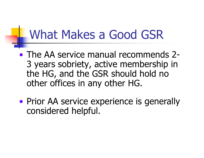#### What Makes a Good GSR

- The AA service manual recommends 2- 3 years sobriety, active membership in the HG, and the GSR should hold no other offices in any other HG.
- Prior AA service experience is generally considered helpful.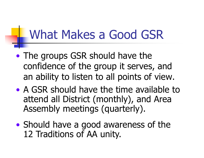#### What Makes a Good GSR

- The groups GSR should have the confidence of the group it serves, and an ability to listen to all points of view.
- A GSR should have the time available to attend all District (monthly), and Area Assembly meetings (quarterly).
- Should have a good awareness of the 12 Traditions of AA unity.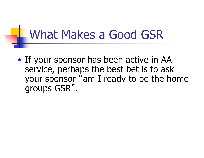#### What Makes a Good GSR

• If your sponsor has been active in AA service, perhaps the best bet is to ask your sponsor "am I ready to be the home groups GSR" .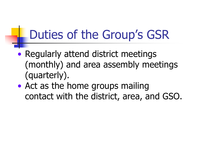## Duties of the Group's GSR

- Regularly attend district meetings (monthly) and area assembly meetings (quarterly).
- Act as the home groups mailing contact with the district, area, and GSO.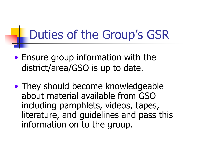#### Duties of the Group's GSR

- Ensure group information with the district/area/GSO is up to date.
- They should become knowledgeable about material available from GSO including pamphlets, videos, tapes, literature, and guidelines and pass this information on to the group.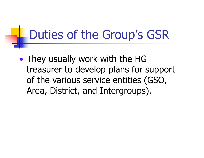#### Duties of the Group's GSR

• They usually work with the HG treasurer to develop plans for support of the various service entities (GSO, Area, District, and Intergroups).